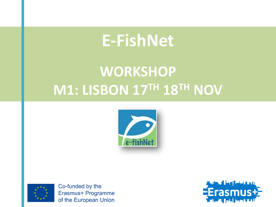# **E-FishNet**

# **WORKSHOP M1: LISBON 17TH 18TH NOV**





Co-funded by the Erasmus+ Programme of the European Union

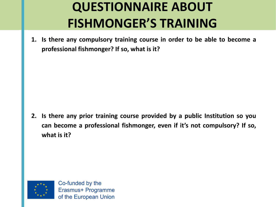**1. Is there any compulsory training course in order to be able to become a professional fishmonger? If so, what is it?**

**2. Is there any prior training course provided by a public Institution so you can become a professional fishmonger, even if it's not compulsory? If so, what is it?**

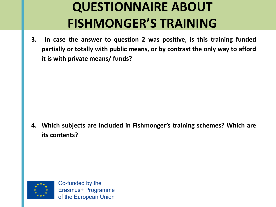**3. In case the answer to question 2 was positive, is this training funded partially or totally with public means, or by contrast the only way to afford it is with private means/ funds?**

**4. Which subjects are included in Fishmonger's training schemes? Which are its contents?**

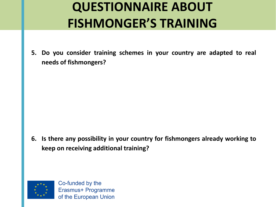**5. Do you consider training schemes in your country are adapted to real needs of fishmongers?**

**6. Is there any possibility in your country for fishmongers already working to keep on receiving additional training?**



Co-funded by the Erasmus+ Programme of the European Union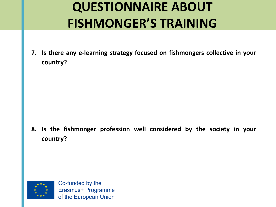**7. Is there any e-learning strategy focused on fishmongers collective in your country?**

**8. Is the fishmonger profession well considered by the society in your country?**